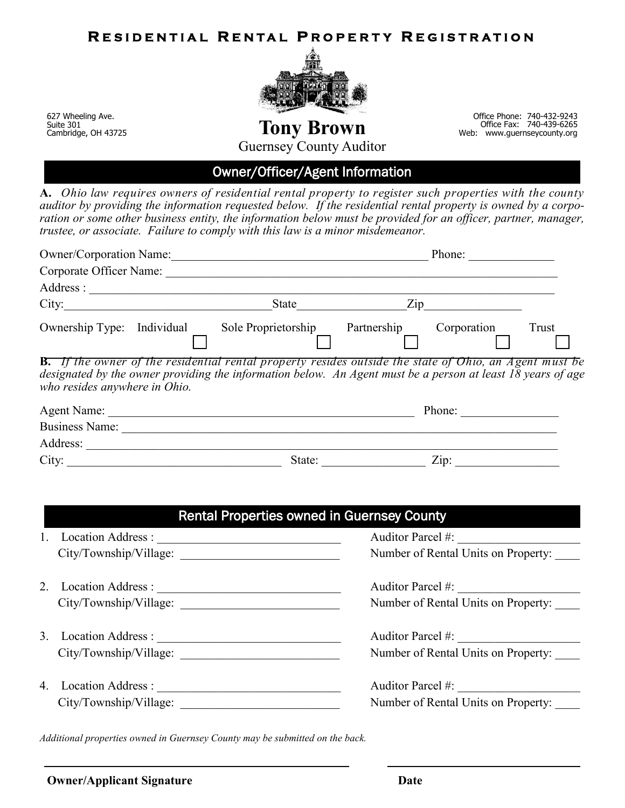## **RESIDENTIAL RENTAL PROPERTY REGISTRATION**



627 Wheeling Ave. Suite 301 Cambridge, OH 43725

 Office Phone: 740-432-9243 **Tony Brown** Web: The Fax: 740-439-6265 **Tony Brown** 

Guernsey County Auditor

## Owner/Officer/Agent Information

**A.** *Ohio law requires owners of residential rental property to register such properties with the county auditor by providing the information requested below. If the residential rental property is owned by a corpo*ration or some other business entity, the information below must be provided for an officer, partner, manager, *trustee, or associate. Failure to comply with this law is a minor misdemeanor.*

| <b>Owner/Corporation Name:</b> |            |                                                                                                                                                                                                                              | Phone:                            |             |       |
|--------------------------------|------------|------------------------------------------------------------------------------------------------------------------------------------------------------------------------------------------------------------------------------|-----------------------------------|-------------|-------|
| Corporate Officer Name:        |            |                                                                                                                                                                                                                              |                                   |             |       |
| Address :                      |            |                                                                                                                                                                                                                              |                                   |             |       |
| City:                          |            | State                                                                                                                                                                                                                        | $\mathop{\mathrm {Zip}}\nolimits$ |             |       |
| Ownership Type:                | Individual | Sole Proprietorship                                                                                                                                                                                                          | Partnership                       | Corporation | Trust |
| who resides anywhere in Ohio.  |            | <b>B.</b> If the owner of the residential rental property resides outside the state of Ohio, an Agent must be<br>designated by the owner providing the information below. An Agent must be a person at least 18 years of age |                                   |             |       |
| Agent Name:                    |            |                                                                                                                                                                                                                              |                                   | Phone:      |       |

| Agent Name:           |        | Phone:              |  |
|-----------------------|--------|---------------------|--|
| <b>Business Name:</b> |        |                     |  |
| Address:              |        |                     |  |
| City:                 | State: | $Z$ <sub>10</sub> : |  |

| <b>Rental Properties owned in Guernsey County</b> |                        |                                     |  |
|---------------------------------------------------|------------------------|-------------------------------------|--|
|                                                   | Location Address :     | Auditor Parcel #:                   |  |
|                                                   | City/Township/Village: | Number of Rental Units on Property: |  |
|                                                   | 2. Location Address :  | Auditor Parcel #:                   |  |
|                                                   | City/Township/Village: | Number of Rental Units on Property: |  |
|                                                   | 3. Location Address :  | Auditor Parcel #:                   |  |
|                                                   | City/Township/Village: | Number of Rental Units on Property: |  |
|                                                   |                        | Auditor Parcel #:                   |  |
|                                                   | City/Township/Village: | Number of Rental Units on Property: |  |

*Additional properties owned in Guernsey County may be submitted on the back.*